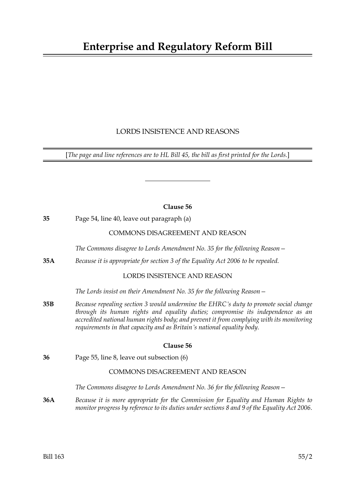# **Enterprise and Regulatory Reform Bill**

# LORDS INSISTENCE AND REASONS

[*The page and line references are to HL Bill 45, the bill as first printed for the Lords.*]

### **Clause 56**

**35** Page 54, line 40, leave out paragraph (a)

# COMMONS DISAGREEMENT AND REASON

*The Commons disagree to Lords Amendment No. 35 for the following Reason—*

**35A** *Because it is appropriate for section 3 of the Equality Act 2006 to be repealed.*

# LORDS INSISTENCE AND REASON

*The Lords insist on their Amendment No. 35 for the following Reason—*

**35B** *Because repealing section 3 would undermine the EHRC's duty to promote social change through its human rights and equality duties; compromise its independence as an accredited national human rights body; and prevent it from complying with its monitoring requirements in that capacity and as Britain's national equality body.*

#### **Clause 56**

**36** Page 55, line 8, leave out subsection (6)

### COMMONS DISAGREEMENT AND REASON

*The Commons disagree to Lords Amendment No. 36 for the following Reason—*

**36A** *Because it is more appropriate for the Commission for Equality and Human Rights to monitor progress by reference to its duties under sections 8 and 9 of the Equality Act 2006.*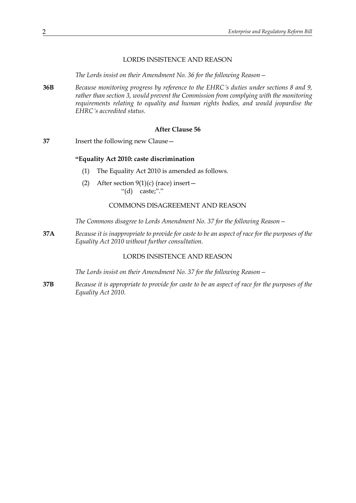#### LORDS INSISTENCE AND REASON

*The Lords insist on their Amendment No. 36 for the following Reason—*

**36B** *Because monitoring progress by reference to the EHRC's duties under sections 8 and 9, rather than section 3, would prevent the Commission from complying with the monitoring requirements relating to equality and human rights bodies, and would jeopardise the EHRC's accredited status.*

#### **After Clause 56**

**37** Insert the following new Clause—

#### **"Equality Act 2010: caste discrimination**

- (1) The Equality Act 2010 is amended as follows.
- (2) After section  $9(1)(c)$  (race) insert "(d) caste;"."

#### COMMONS DISAGREEMENT AND REASON

*The Commons disagree to Lords Amendment No. 37 for the following Reason—*

**37A** *Because it is inappropriate to provide for caste to be an aspect of race for the purposes of the Equality Act 2010 without further consultation.*

## LORDS INSISTENCE AND REASON

*The Lords insist on their Amendment No. 37 for the following Reason—*

**37B** *Because it is appropriate to provide for caste to be an aspect of race for the purposes of the Equality Act 2010.*